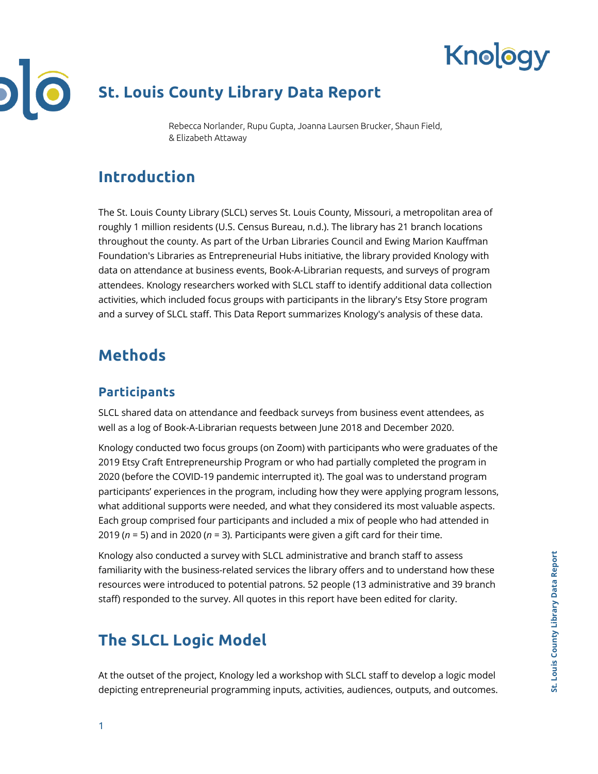

# **St. Louis County Library Data Report**

Rebecca Norlander, Rupu Gupta, Joanna Laursen Brucker, Shaun Field, & Elizabeth Attaway

## **Introduction**

The St. Louis County Library (SLCL) serves St. Louis County, Missouri, a metropolitan area of roughly 1 million residents (U.S. Census Bureau, n.d.). The library has 21 branch locations throughout the county. As part of the Urban Libraries Council and Ewing Marion Kauffman Foundation's Libraries as Entrepreneurial Hubs initiative, the library provided Knology with data on attendance at business events, Book-A-Librarian requests, and surveys of program attendees. Knology researchers worked with SLCL staff to identify additional data collection activities, which included focus groups with participants in the library's Etsy Store program and a survey of SLCL staff. This Data Report summarizes Knology's analysis of these data.

## **Methods**

### **Participants**

SLCL shared data on attendance and feedback surveys from business event attendees, as well as a log of Book-A-Librarian requests between June 2018 and December 2020.

Knology conducted two focus groups (on Zoom) with participants who were graduates of the 2019 Etsy Craft Entrepreneurship Program or who had partially completed the program in 2020 (before the COVID-19 pandemic interrupted it). The goal was to understand program participants' experiences in the program, including how they were applying program lessons, what additional supports were needed, and what they considered its most valuable aspects. Each group comprised four participants and included a mix of people who had attended in 2019 (*n* = 5) and in 2020 (*n* = 3). Participants were given a gift card for their time.

Knology also conducted a survey with SLCL administrative and branch staff to assess familiarity with the business-related services the library offers and to understand how these resources were introduced to potential patrons. 52 people (13 administrative and 39 branch staff) responded to the survey. All quotes in this report have been edited for clarity.

## **The SLCL Logic Model**

At the outset of the project, Knology led a workshop with SLCL staff to develop a logic model depicting entrepreneurial programming inputs, activities, audiences, outputs, and outcomes.

**Knology**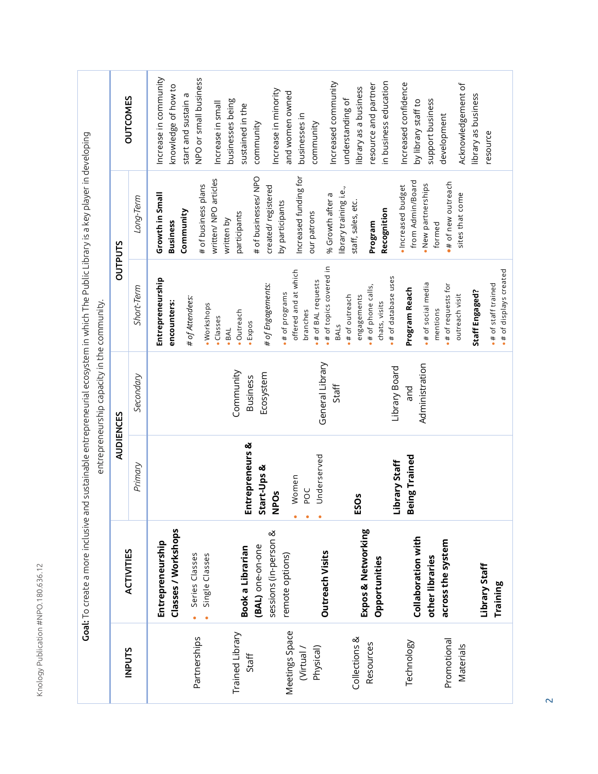| ı |
|---|
|   |
|   |
| l |
|   |
|   |
| ١ |
|   |
|   |
| ١ |
|   |
|   |
|   |
|   |
|   |
| ı |
| j |
|   |
|   |
|   |
|   |
|   |
|   |
| ١ |
| ١ |
|   |
|   |
|   |
|   |
|   |

|                                          | Goal: To create a more inclusive and sustainable entrepreneurial ecosystem in which The Public Library is a key player in developing |                                         | entrepreneurship capacity in the community. |                                                                                                    |                                                                                                   |                                                                                                                   |
|------------------------------------------|--------------------------------------------------------------------------------------------------------------------------------------|-----------------------------------------|---------------------------------------------|----------------------------------------------------------------------------------------------------|---------------------------------------------------------------------------------------------------|-------------------------------------------------------------------------------------------------------------------|
| <b>INPUTS</b>                            | <b>ACTIVITIES</b>                                                                                                                    | <b>AUDIENCES</b>                        |                                             | <b>OUTPUTS</b>                                                                                     |                                                                                                   | <b>OUTCOMES</b>                                                                                                   |
|                                          |                                                                                                                                      | Primary                                 | Secondary                                   | Short-Term                                                                                         | Long-Term                                                                                         |                                                                                                                   |
| Partnerships                             | Classes / Workshops<br>Entrepreneurship<br>Single Classes<br>Series Classes<br>$\bullet$                                             |                                         |                                             | Entrepreneurship<br># of Attendees:<br>encounters:<br>· Workshops                                  | # of business plans<br>Growth in Small<br>Community<br><b>Business</b>                            | Increase in community<br>NPO or small business<br>knowledge of how to<br>start and sustain a                      |
| Trained Library<br>Staff                 | sessions (in-person &<br>(BAL) one-on-one<br>Book a Librarian                                                                        | Entrepreneurs &<br>Start-Ups &          | Community<br>Ecosystem<br><b>Business</b>   | # of Engagements:<br>· Outreach<br>·Classes<br>· Expos<br>$-BAL$                                   | # of businesses/ NPO<br>written/ NPO articles<br>created/registered<br>participants<br>written by | businesses being<br>Increase in small<br>sustained in the<br>community                                            |
| Meetings Space<br>Physical)<br>Virtual / | <b>Outreach Visits</b><br>remote options)                                                                                            | Underserved<br>Women<br>POC<br>POS<br>z | General Library                             | .# of topics covered in<br>offered and at which<br>.# of BAL requests<br># of programs<br>branches | Increased funding for<br>by participants<br>our patrons                                           | Increase in minority<br>and women owned<br>businesses in<br>community                                             |
| Collections &<br>Resources               | Expos & Networking<br>Opportunities                                                                                                  | ESOs                                    | Staff                                       | # of phone calls,<br>.# of outreach<br>engagements<br>chats, visits<br>BALS                        | library training i.e.,<br>% Growth after a<br>staff, sales, etc.<br>Recognition<br>Program        | Increased community<br>in business education<br>resource and partner<br>library as a business<br>understanding of |
| Promotional<br>Technology                | <b>Collaboration with</b><br>across the system<br>other libraries                                                                    | <b>Being Trained</b><br>Library Staff   | Administration<br>Library Board<br>pue      | .# of database uses<br># of social media<br>.# of requests for<br>Program Reach<br>mentions        | from Admin/Board<br>.# of new outreach<br>· New partnerships<br>· Increased budget<br>formed      | Increased confidence<br>support business<br>by library staff to<br>development                                    |
| Materials                                | Library Staff<br>Training                                                                                                            |                                         |                                             | .# of displays created<br>.# of staff trained<br>Staff Engaged?<br>outreach visit                  | sites that come                                                                                   | Acknowledgement of<br>library as business<br>resource                                                             |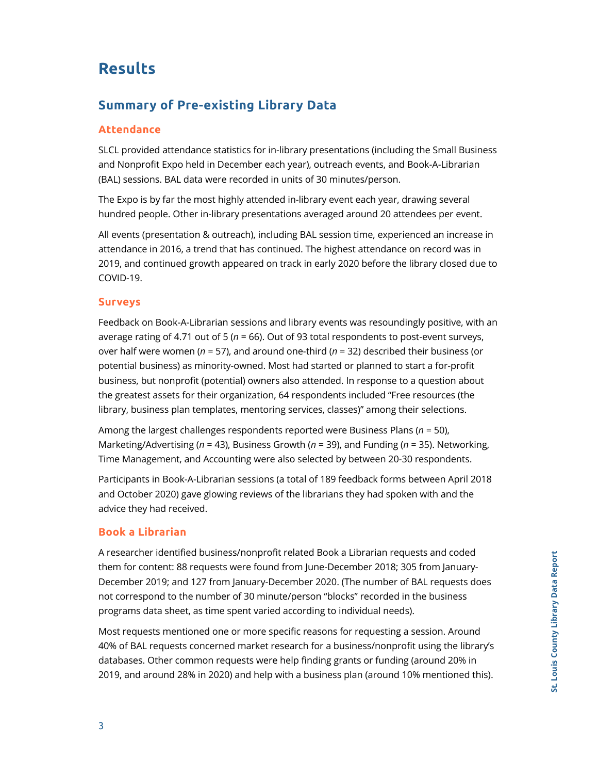## **Results**

### **Summary of Pre-existing Library Data**

#### **Attendance**

SLCL provided attendance statistics for in-library presentations (including the Small Business and Nonprofit Expo held in December each year), outreach events, and Book-A-Librarian (BAL) sessions. BAL data were recorded in units of 30 minutes/person.

The Expo is by far the most highly attended in-library event each year, drawing several hundred people. Other in-library presentations averaged around 20 attendees per event.

All events (presentation & outreach), including BAL session time, experienced an increase in attendance in 2016, a trend that has continued. The highest attendance on record was in 2019, and continued growth appeared on track in early 2020 before the library closed due to COVID-19.

#### **Surveys**

Feedback on Book-A-Librarian sessions and library events was resoundingly positive, with an average rating of 4.71 out of 5 (*n* = 66). Out of 93 total respondents to post-event surveys, over half were women (*n* = 57), and around one-third (*n* = 32) described their business (or potential business) as minority-owned. Most had started or planned to start a for-profit business, but nonprofit (potential) owners also attended. In response to a question about the greatest assets for their organization, 64 respondents included "Free resources (the library, business plan templates, mentoring services, classes)" among their selections.

Among the largest challenges respondents reported were Business Plans (*n* = 50), Marketing/Advertising (*n* = 43), Business Growth (*n* = 39), and Funding (*n* = 35). Networking, Time Management, and Accounting were also selected by between 20-30 respondents.

Participants in Book-A-Librarian sessions (a total of 189 feedback forms between April 2018 and October 2020) gave glowing reviews of the librarians they had spoken with and the advice they had received.

#### **Book a Librarian**

A researcher identified business/nonprofit related Book a Librarian requests and coded them for content: 88 requests were found from June-December 2018; 305 from January-December 2019; and 127 from January-December 2020. (The number of BAL requests does not correspond to the number of 30 minute/person "blocks" recorded in the business programs data sheet, as time spent varied according to individual needs).

Most requests mentioned one or more specific reasons for requesting a session. Around 40% of BAL requests concerned market research for a business/nonprofit using the library's databases. Other common requests were help finding grants or funding (around 20% in 2019, and around 28% in 2020) and help with a business plan (around 10% mentioned this).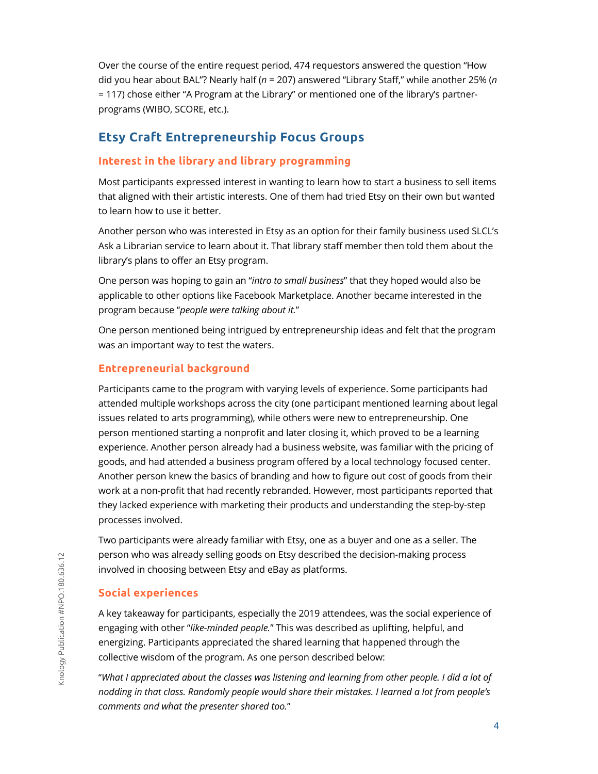Over the course of the entire request period, 474 requestors answered the question "How did you hear about BAL"? Nearly half (*n* = 207) answered "Library Staff," while another 25% (*n* = 117) chose either "A Program at the Library" or mentioned one of the library's partnerprograms (WIBO, SCORE, etc.).

### **Etsy Craft Entrepreneurship Focus Groups**

#### **Interest in the library and library programming**

Most participants expressed interest in wanting to learn how to start a business to sell items that aligned with their artistic interests. One of them had tried Etsy on their own but wanted to learn how to use it better.

Another person who was interested in Etsy as an option for their family business used SLCL's Ask a Librarian service to learn about it. That library staff member then told them about the library's plans to offer an Etsy program.

One person was hoping to gain an "*intro to small business*" that they hoped would also be applicable to other options like Facebook Marketplace. Another became interested in the program because "*people were talking about it.*"

One person mentioned being intrigued by entrepreneurship ideas and felt that the program was an important way to test the waters.

#### **Entrepreneurial background**

Participants came to the program with varying levels of experience. Some participants had attended multiple workshops across the city (one participant mentioned learning about legal issues related to arts programming), while others were new to entrepreneurship. One person mentioned starting a nonprofit and later closing it, which proved to be a learning experience. Another person already had a business website, was familiar with the pricing of goods, and had attended a business program offered by a local technology focused center. Another person knew the basics of branding and how to figure out cost of goods from their work at a non-profit that had recently rebranded. However, most participants reported that they lacked experience with marketing their products and understanding the step-by-step processes involved.

Two participants were already familiar with Etsy, one as a buyer and one as a seller. The person who was already selling goods on Etsy described the decision-making process involved in choosing between Etsy and eBay as platforms.

#### **Social experiences**

A key takeaway for participants, especially the 2019 attendees, was the social experience of engaging with other "*like-minded people.*" This was described as uplifting, helpful, and energizing. Participants appreciated the shared learning that happened through the collective wisdom of the program. As one person described below:

"*What I appreciated about the classes was listening and learning from other people. I did a lot of nodding in that class. Randomly people would share their mistakes. I learned a lot from people's comments and what the presenter shared too.*"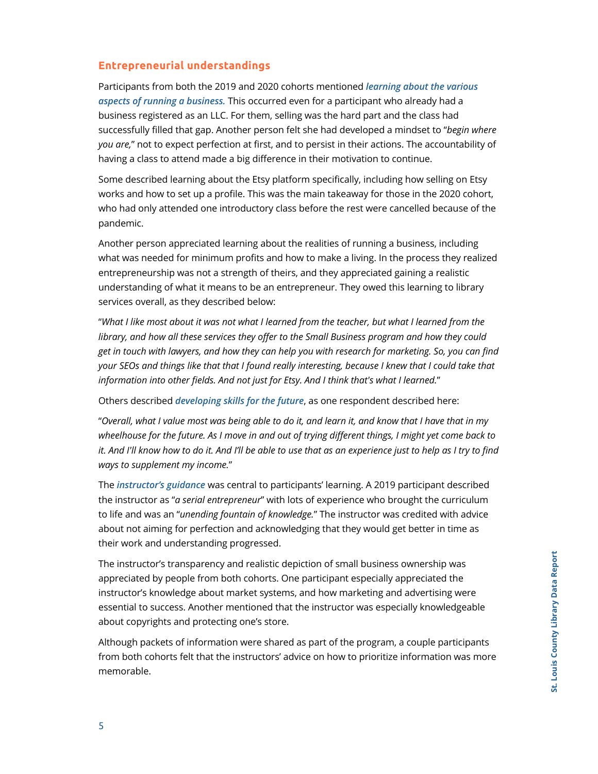#### **Entrepreneurial understandings**

Participants from both the 2019 and 2020 cohorts mentioned *learning about the various aspects of running a business.* This occurred even for a participant who already had a business registered as an LLC. For them, selling was the hard part and the class had successfully filled that gap. Another person felt she had developed a mindset to "*begin where you are,*" not to expect perfection at first, and to persist in their actions. The accountability of having a class to attend made a big difference in their motivation to continue.

Some described learning about the Etsy platform specifically, including how selling on Etsy works and how to set up a profile. This was the main takeaway for those in the 2020 cohort, who had only attended one introductory class before the rest were cancelled because of the pandemic.

Another person appreciated learning about the realities of running a business, including what was needed for minimum profits and how to make a living. In the process they realized entrepreneurship was not a strength of theirs, and they appreciated gaining a realistic understanding of what it means to be an entrepreneur. They owed this learning to library services overall, as they described below:

"*What I like most about it was not what I learned from the teacher, but what I learned from the library, and how all these services they offer to the Small Business program and how they could get in touch with lawyers, and how they can help you with research for marketing. So, you can find your SEOs and things like that that I found really interesting, because I knew that I could take that information into other fields. And not just for Etsy. And I think that's what I learned.*"

Others described *developing skills for the future*, as one respondent described here:

"*Overall, what I value most was being able to do it, and learn it, and know that I have that in my wheelhouse for the future. As I move in and out of trying different things, I might yet come back to it. And I'll know how to do it. And I'll be able to use that as an experience just to help as I try to find ways to supplement my income.*"

The *instructor's guidance* was central to participants' learning. A 2019 participant described the instructor as "*a serial entrepreneur*" with lots of experience who brought the curriculum to life and was an "*unending fountain of knowledge.*" The instructor was credited with advice about not aiming for perfection and acknowledging that they would get better in time as their work and understanding progressed.

The instructor's transparency and realistic depiction of small business ownership was appreciated by people from both cohorts. One participant especially appreciated the instructor's knowledge about market systems, and how marketing and advertising were essential to success. Another mentioned that the instructor was especially knowledgeable about copyrights and protecting one's store.

Although packets of information were shared as part of the program, a couple participants from both cohorts felt that the instructors' advice on how to prioritize information was more memorable.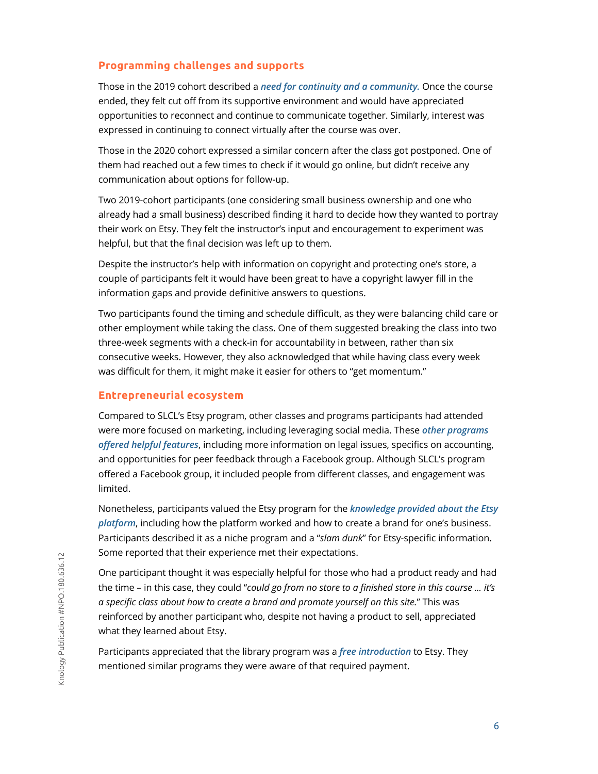#### **Programming challenges and supports**

Those in the 2019 cohort described a *need for continuity and a community.* Once the course ended, they felt cut off from its supportive environment and would have appreciated opportunities to reconnect and continue to communicate together. Similarly, interest was expressed in continuing to connect virtually after the course was over.

Those in the 2020 cohort expressed a similar concern after the class got postponed. One of them had reached out a few times to check if it would go online, but didn't receive any communication about options for follow-up.

Two 2019-cohort participants (one considering small business ownership and one who already had a small business) described finding it hard to decide how they wanted to portray their work on Etsy. They felt the instructor's input and encouragement to experiment was helpful, but that the final decision was left up to them.

Despite the instructor's help with information on copyright and protecting one's store, a couple of participants felt it would have been great to have a copyright lawyer fill in the information gaps and provide definitive answers to questions.

Two participants found the timing and schedule difficult, as they were balancing child care or other employment while taking the class. One of them suggested breaking the class into two three-week segments with a check-in for accountability in between, rather than six consecutive weeks. However, they also acknowledged that while having class every week was difficult for them, it might make it easier for others to "get momentum."

#### **Entrepreneurial ecosystem**

Compared to SLCL's Etsy program, other classes and programs participants had attended were more focused on marketing, including leveraging social media. These *other programs offered helpful features*, including more information on legal issues, specifics on accounting, and opportunities for peer feedback through a Facebook group. Although SLCL's program offered a Facebook group, it included people from different classes, and engagement was limited.

Nonetheless, participants valued the Etsy program for the *knowledge provided about the Etsy platform*, including how the platform worked and how to create a brand for one's business. Participants described it as a niche program and a "*slam dunk*" for Etsy-specific information. Some reported that their experience met their expectations.

One participant thought it was especially helpful for those who had a product ready and had the time – in this case, they could "*could go from no store to a finished store in this course ... it's a specific class about how to create a brand and promote yourself on this site.*" This was reinforced by another participant who, despite not having a product to sell, appreciated what they learned about Etsy.

Participants appreciated that the library program was a *free introduction* to Etsy. They mentioned similar programs they were aware of that required payment.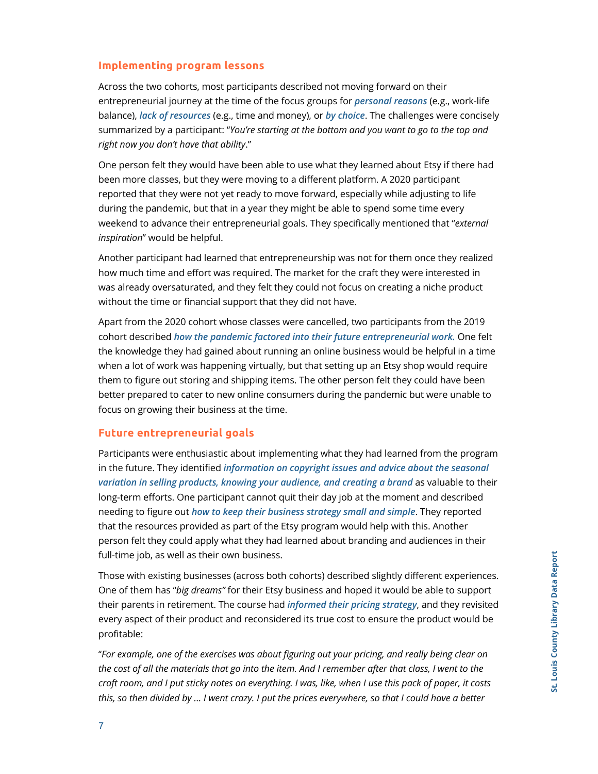#### **Implementing program lessons**

Across the two cohorts, most participants described not moving forward on their entrepreneurial journey at the time of the focus groups for *personal reasons* (e.g., work-life balance), *lack of resources* (e.g., time and money), or *by choice*. The challenges were concisely summarized by a participant: "*You're starting at the bottom and you want to go to the top and right now you don't have that ability*."

One person felt they would have been able to use what they learned about Etsy if there had been more classes, but they were moving to a different platform. A 2020 participant reported that they were not yet ready to move forward, especially while adjusting to life during the pandemic, but that in a year they might be able to spend some time every weekend to advance their entrepreneurial goals. They specifically mentioned that "*external inspiration*" would be helpful.

Another participant had learned that entrepreneurship was not for them once they realized how much time and effort was required. The market for the craft they were interested in was already oversaturated, and they felt they could not focus on creating a niche product without the time or financial support that they did not have.

Apart from the 2020 cohort whose classes were cancelled, two participants from the 2019 cohort described *how the pandemic factored into their future entrepreneurial work.* One felt the knowledge they had gained about running an online business would be helpful in a time when a lot of work was happening virtually, but that setting up an Etsy shop would require them to figure out storing and shipping items. The other person felt they could have been better prepared to cater to new online consumers during the pandemic but were unable to focus on growing their business at the time.

#### **Future entrepreneurial goals**

Participants were enthusiastic about implementing what they had learned from the program in the future. They identified *information on copyright issues and advice about the seasonal variation in selling products, knowing your audience, and creating a brand* as valuable to their long-term efforts. One participant cannot quit their day job at the moment and described needing to figure out *how to keep their business strategy small and simple*. They reported that the resources provided as part of the Etsy program would help with this. Another person felt they could apply what they had learned about branding and audiences in their full-time job, as well as their own business.

Those with existing businesses (across both cohorts) described slightly different experiences. One of them has "*big dreams"* for their Etsy business and hoped it would be able to support their parents in retirement. The course had *informed their pricing strategy*, and they revisited every aspect of their product and reconsidered its true cost to ensure the product would be profitable:

"*For example, one of the exercises was about figuring out your pricing, and really being clear on the cost of all the materials that go into the item. And I remember after that class, I went to the craft room, and I put sticky notes on everything. I was, like, when I use this pack of paper, it costs this, so then divided by … I went crazy. I put the prices everywhere, so that I could have a better*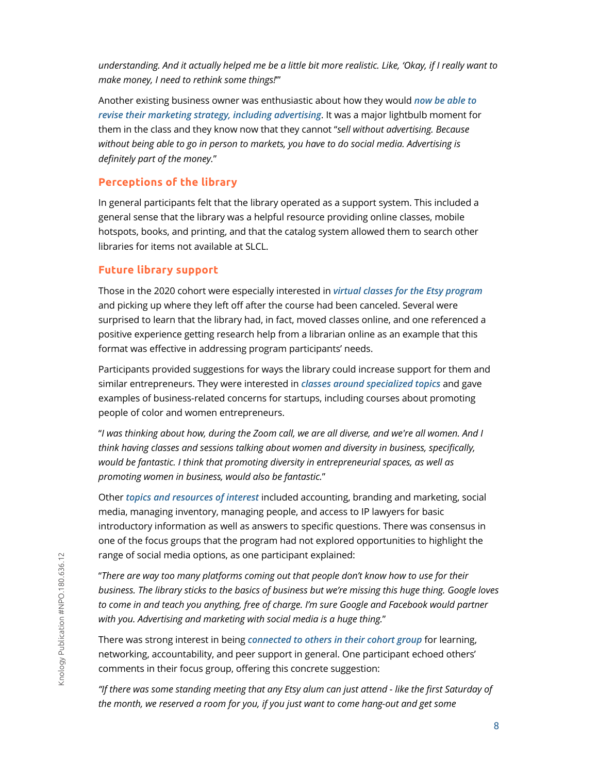*understanding. And it actually helped me be a little bit more realistic. Like, 'Okay, if I really want to make money, I need to rethink some things!*'"

Another existing business owner was enthusiastic about how they would *now be able to revise their marketing strategy, including advertising*. It was a major lightbulb moment for them in the class and they know now that they cannot "*sell without advertising. Because without being able to go in person to markets, you have to do social media. Advertising is definitely part of the money.*"

#### **Perceptions of the library**

In general participants felt that the library operated as a support system. This included a general sense that the library was a helpful resource providing online classes, mobile hotspots, books, and printing, and that the catalog system allowed them to search other libraries for items not available at SLCL.

#### **Future library support**

Those in the 2020 cohort were especially interested in *virtual classes for the Etsy program* and picking up where they left off after the course had been canceled. Several were surprised to learn that the library had, in fact, moved classes online, and one referenced a positive experience getting research help from a librarian online as an example that this format was effective in addressing program participants' needs.

Participants provided suggestions for ways the library could increase support for them and similar entrepreneurs. They were interested in *classes around specialized topics* and gave examples of business-related concerns for startups, including courses about promoting people of color and women entrepreneurs.

"*I was thinking about how, during the Zoom call, we are all diverse, and we're all women. And I think having classes and sessions talking about women and diversity in business, specifically, would be fantastic. I think that promoting diversity in entrepreneurial spaces, as well as promoting women in business, would also be fantastic.*"

Other *topics and resources of interest* included accounting, branding and marketing, social media, managing inventory, managing people, and access to IP lawyers for basic introductory information as well as answers to specific questions. There was consensus in one of the focus groups that the program had not explored opportunities to highlight the range of social media options, as one participant explained:

"*There are way too many platforms coming out that people don't know how to use for their business. The library sticks to the basics of business but we're missing this huge thing. Google loves to come in and teach you anything, free of charge. I'm sure Google and Facebook would partner with you. Advertising and marketing with social media is a huge thing.*"

There was strong interest in being *connected to others in their cohort group* for learning, networking, accountability, and peer support in general. One participant echoed others' comments in their focus group, offering this concrete suggestion:

*"If there was some standing meeting that any Etsy alum can just attend - like the first Saturday of the month, we reserved a room for you, if you just want to come hang-out and get some*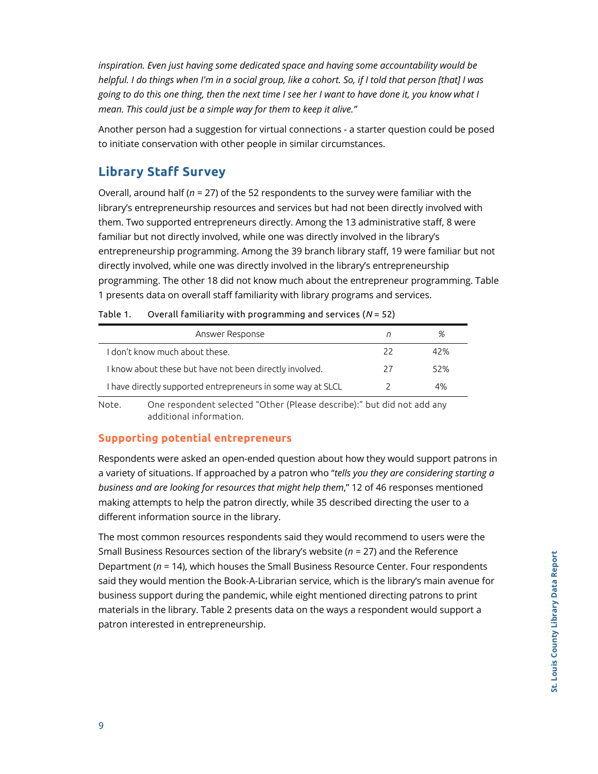*inspiration. Even just having some dedicated space and having some accountability would be helpful. I do things when I'm in a social group, like a cohort. So, if I told that person [that] I was going to do this one thing, then the next time I see her I want to have done it, you know what I mean. This could just be a simple way for them to keep it alive."*

Another person had a suggestion for virtual connections - a starter question could be posed to initiate conservation with other people in similar circumstances.

### **Library Staff Survey**

Overall, around half (*n* = 27) of the 52 respondents to the survey were familiar with the library's entrepreneurship resources and services but had not been directly involved with them. Two supported entrepreneurs directly. Among the 13 administrative staff, 8 were familiar but not directly involved, while one was directly involved in the library's entrepreneurship programming. Among the 39 branch library staff, 19 were familiar but not directly involved, while one was directly involved in the library's entrepreneurship programming. The other 18 did not know much about the entrepreneur programming. Table 1 presents data on overall staff familiarity with library programs and services.

| Answer Response                                             |    | ℅   |
|-------------------------------------------------------------|----|-----|
| I don't know much about these.                              | フフ | 42% |
| I know about these but have not been directly involved.     | 27 | 52% |
| I have directly supported entrepreneurs in some way at SLCL |    | 4%  |

Table 1. Overall familiarity with programming and services (*N* = 52)

Note. One respondent selected "Other (Please describe):" but did not add any additional information.

#### **Supporting potential entrepreneurs**

Respondents were asked an open-ended question about how they would support patrons in a variety of situations. If approached by a patron who "*tells you they are considering starting a business and are looking for resources that might help them*," 12 of 46 responses mentioned making attempts to help the patron directly, while 35 described directing the user to a different information source in the library.

The most common resources respondents said they would recommend to users were the Small Business Resources section of the library's website (*n* = 27) and the Reference Department (*n* = 14), which houses the Small Business Resource Center. Four respondents said they would mention the Book-A-Librarian service, which is the library's main avenue for business support during the pandemic, while eight mentioned directing patrons to print materials in the library. Table 2 presents data on the ways a respondent would support a patron interested in entrepreneurship.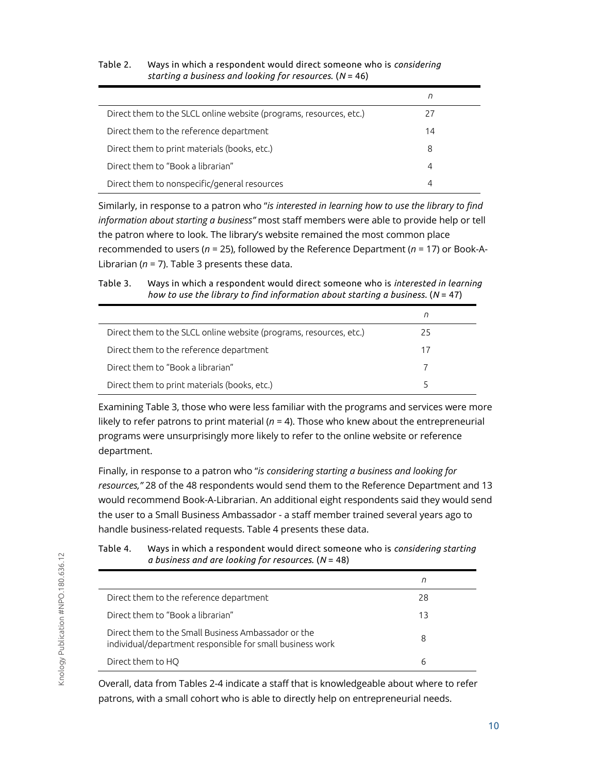|                                                                    | n  |
|--------------------------------------------------------------------|----|
| Direct them to the SLCL online website (programs, resources, etc.) | 27 |
| Direct them to the reference department                            | 14 |
| Direct them to print materials (books, etc.)                       | 8  |
| Direct them to "Book a librarian"                                  | 4  |
| Direct them to nonspecific/general resources                       | 4  |

#### Table 2. Ways in which a respondent would direct someone who is *considering starting a business and looking for resources*. (*N* = 46)

Similarly, in response to a patron who "*is interested in learning how to use the library to find information about starting a business"* most staff members were able to provide help or tell the patron where to look. The library's website remained the most common place recommended to users (*n* = 25), followed by the Reference Department (*n* = 17) or Book-A-Librarian (*n* = 7). Table 3 presents these data.

Table 3. Ways in which a respondent would direct someone who is *interested in learning how to use the library to find information about starting a business.* (*N* = 47)

|                                                                    | n  |  |
|--------------------------------------------------------------------|----|--|
| Direct them to the SLCL online website (programs, resources, etc.) | 25 |  |
| Direct them to the reference department                            | 17 |  |
| Direct them to "Book a librarian"                                  |    |  |
| Direct them to print materials (books, etc.)                       |    |  |

Examining Table 3, those who were less familiar with the programs and services were more likely to refer patrons to print material  $(n = 4)$ . Those who knew about the entrepreneurial programs were unsurprisingly more likely to refer to the online website or reference department.

Finally, in response to a patron who "*is considering starting a business and looking for resources,"* 28 of the 48 respondents would send them to the Reference Department and 13 would recommend Book-A-Librarian. An additional eight respondents said they would send the user to a Small Business Ambassador - a staff member trained several years ago to handle business-related requests. Table 4 presents these data.

|                                                                                                                  | П  |  |
|------------------------------------------------------------------------------------------------------------------|----|--|
| Direct them to the reference department                                                                          | 28 |  |
| Direct them to "Book a librarian"                                                                                | 13 |  |
| Direct them to the Small Business Ambassador or the<br>individual/department responsible for small business work | 8  |  |
| Direct them to HQ                                                                                                | 6  |  |

Table 4. Ways in which a respondent would direct someone who is *considering starting a business and are looking for resources*. (*N* = 48)

Overall, data from Tables 2-4 indicate a staff that is knowledgeable about where to refer patrons, with a small cohort who is able to directly help on entrepreneurial needs.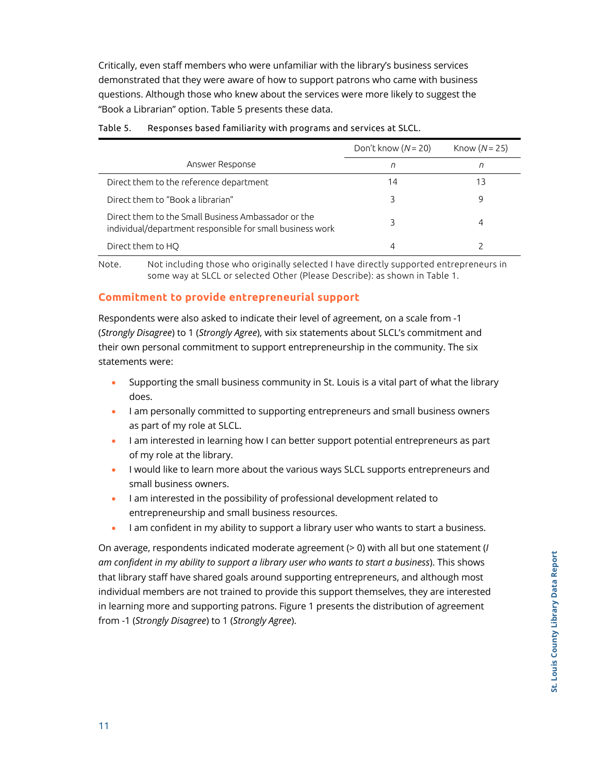Critically, even staff members who were unfamiliar with the library's business services demonstrated that they were aware of how to support patrons who came with business questions. Although those who knew about the services were more likely to suggest the "Book a Librarian" option. Table 5 presents these data.

|                                                                                                                  | Don't know $(N = 20)$ | Know $(N=25)$ |
|------------------------------------------------------------------------------------------------------------------|-----------------------|---------------|
| Answer Response                                                                                                  | n                     | n             |
| Direct them to the reference department                                                                          | 14                    | 13            |
| Direct them to "Book a librarian"                                                                                |                       | 9             |
| Direct them to the Small Business Ambassador or the<br>individual/department responsible for small business work |                       | 4             |
| Direct them to HO                                                                                                | 4                     |               |

#### Table 5. Responses based familiarity with programs and services at SLCL.

Note. Not including those who originally selected I have directly supported entrepreneurs in some way at SLCL or selected Other (Please Describe): as shown in Table 1.

#### **Commitment to provide entrepreneurial support**

Respondents were also asked to indicate their level of agreement, on a scale from -1 (*Strongly Disagree*) to 1 (*Strongly Agree*), with six statements about SLCL's commitment and their own personal commitment to support entrepreneurship in the community. The six statements were:

- Supporting the small business community in St. Louis is a vital part of what the library does.
- I am personally committed to supporting entrepreneurs and small business owners as part of my role at SLCL.
- I am interested in learning how I can better support potential entrepreneurs as part of my role at the library.
- I would like to learn more about the various ways SLCL supports entrepreneurs and small business owners.
- I am interested in the possibility of professional development related to entrepreneurship and small business resources.
- I am confident in my ability to support a library user who wants to start a business.

On average, respondents indicated moderate agreement (> 0) with all but one statement (*I am confident in my ability to support a library user who wants to start a business*). This shows that library staff have shared goals around supporting entrepreneurs, and although most individual members are not trained to provide this support themselves, they are interested in learning more and supporting patrons. Figure 1 presents the distribution of agreement from -1 (*Strongly Disagree*) to 1 (*Strongly Agree*).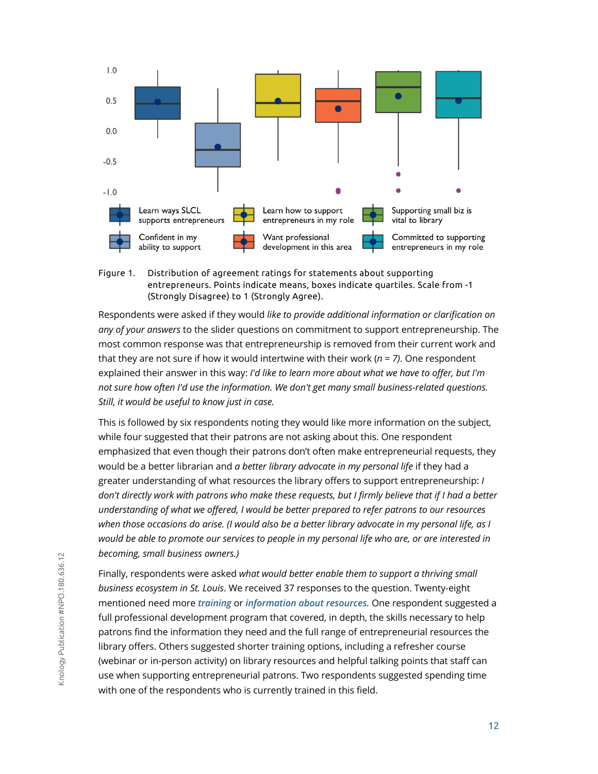

Figure 1. Distribution of agreement ratings for statements about supporting entrepreneurs. Points indicate means, boxes indicate quartiles. Scale from -1 (Strongly Disagree) to 1 (Strongly Agree).

Respondents were asked if they would *like to provide additional information or clarification on any of your answers* to the slider questions on commitment to support entrepreneurship. The most common response was that entrepreneurship is removed from their current work and that they are not sure if how it would intertwine with their work  $(n = 7)$ . One respondent explained their answer in this way: *I'd like to learn more about what we have to offer, but I'm not sure how often I'd use the information. We don't get many small business-related questions. Still, it would be useful to know just in case.*

This is followed by six respondents noting they would like more information on the subject, while four suggested that their patrons are not asking about this. One respondent emphasized that even though their patrons don't often make entrepreneurial requests, they would be a better librarian and *a better library advocate in my personal life* if they had a greater understanding of what resources the library offers to support entrepreneurship: *I don't directly work with patrons who make these requests, but I firmly believe that if I had a better understanding of what we offered, I would be better prepared to refer patrons to our resources when those occasions do arise. (I would also be a better library advocate in my personal life, as I would be able to promote our services to people in my personal life who are, or are interested in becoming, small business owners.)*

Finally, respondents were asked *what would better enable them to support a thriving small business ecosystem in St. Louis*. We received 37 responses to the question. Twenty-eight mentioned need more *training* or *information about resources.* One respondent suggested a full professional development program that covered, in depth, the skills necessary to help patrons find the information they need and the full range of entrepreneurial resources the library offers. Others suggested shorter training options, including a refresher course (webinar or in-person activity) on library resources and helpful talking points that staff can use when supporting entrepreneurial patrons. Two respondents suggested spending time with one of the respondents who is currently trained in this field.